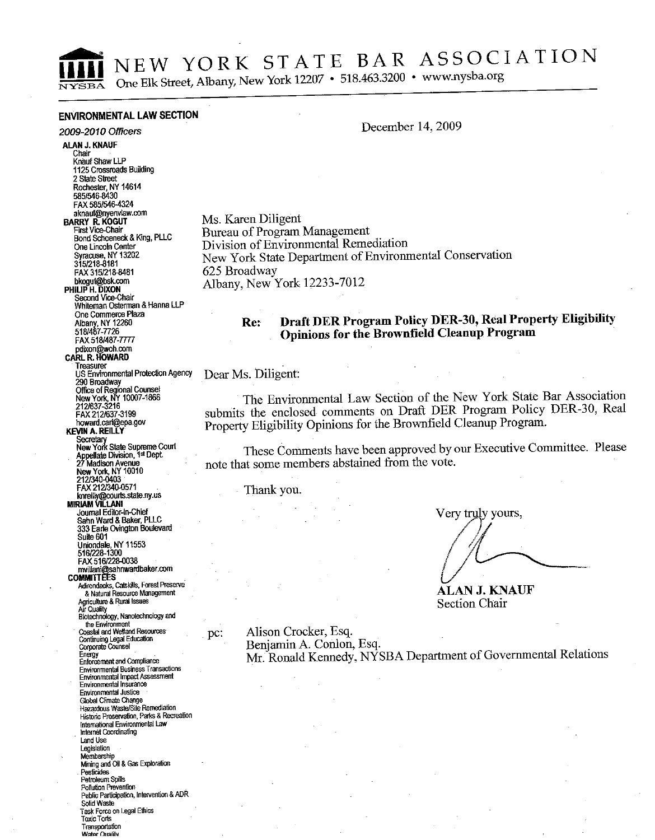$\sqrt{VQBA}$ 

NEW YORK STATE BAR ASSOCIATION

One Elk Street, Albany, New York 12207 • 518.463.3200 • www.nysba.org

## **ENVIRONMENTAL LAW SECTION**

### 2009-2010 Officers

**ALAN J. KNAUF** Chair Knauf Shaw LLP 1125 Crossroads Building 2 State Street Rochester, NY 14614 585/546-8430 FAX 585/546-4324 aknauf@nvenvlaw.com **BARRY R. KOGUT** First Vice-Chair Bond Schoeneck & King, PLLC One Lincoln Center Syracuse, NY 13202 315/218-8181 FAX 315/218-8481 bkogut@bsk.com Second Vice-Chair Whiteman Osterman & Hanna LLP One Commerce Plaza Albany, NY 12260 FAX 518/487-7777 pdixon@woh.com<br>CARL R. HOWARD Treasurer **U.S. Environmental Protection Agency** 290 Broadway **Office of Regional Counsel<br>New York, NY 10007-1866<br>212/637-3216** FAX 212/637-3199 howard.carl@epa.gov **KEVIN A. REILLY** Form A. NETLET<br>Secretary<br>New York State Supreme Court<br>Appellate Division, 1st Dept.<br>27 Madison Avenue New York, NY 10010<br>212/340-0403<br>FAX 212/340-0571 knreilly@courts.state.ny.us<br>MIRIAM VILLANI Journal Editor-in-Chief<br>Sahn Ward & Baker, PLLC 333 Earle Ovington Boulevard Suite 601 Uniondale, NY 11553<br>516/228-1300 FAX 516/228-0038 mvillani@sahnwardbaker.com **COMMITTEES** Adirondacks, Catskills, Forest Preserve & Natural Resource Management Agriculture & Rural Issues Biotechnology, Nanotechnology and the Environment<br>Coastal and Wetland Resources Continuing Legal Education<br>Continuing Legal Education Energy<br>Enforcement and Compliance Environmental Business Transactions<br>Environmental Impact Assessment Environmental Insurance Environmental Justice Global Climate Change Hazardous Waste/Site Remediation Historic Preservation, Parks & Recreation International Environmental Law Internet Coordinating Land Use Legislation Membership Mining and Oil & Gas Exploration Pesticides Petroleum Spills Pollution Prevention Public Participation, Intervention & ADR Solid Waste Task Force on Legal Ethics

Toxic Torts Transportation Wotor Orraldy

### December 14, 2009

Ms. Karen Diligent Bureau of Program Management Division of Environmental Remediation New York State Department of Environmental Conservation 625 Broadway Albany, New York 12233-7012

#### Draft DER Program Policy DER-30, Real Property Eligibility  $Re:$ Opinions for the Brownfield Cleanup Program

Dear Ms. Diligent:

pc:

The Environmental Law Section of the New York State Bar Association submits the enclosed comments on Draft DER Program Policy DER-30, Real Property Eligibility Opinions for the Brownfield Cleanup Program.

These Comments have been approved by our Executive Committee. Please note that some members abstained from the vote.

Thank vou.

Very truly yours,

ALAN J. KNAUF **Section Chair** 

Alison Crocker, Esq. Benjamin A. Conlon, Esq. Mr. Ronald Kennedy, NYSBA Department of Governmental Relations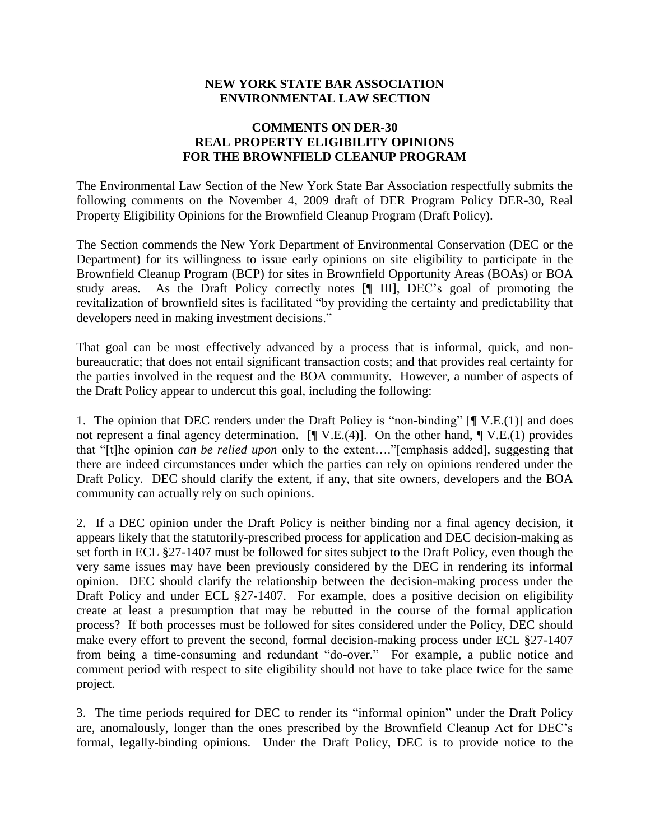## **NEW YORK STATE BAR ASSOCIATION ENVIRONMENTAL LAW SECTION**

# **COMMENTS ON DER-30 REAL PROPERTY ELIGIBILITY OPINIONS FOR THE BROWNFIELD CLEANUP PROGRAM**

The Environmental Law Section of the New York State Bar Association respectfully submits the following comments on the November 4, 2009 draft of DER Program Policy DER-30, Real Property Eligibility Opinions for the Brownfield Cleanup Program (Draft Policy).

The Section commends the New York Department of Environmental Conservation (DEC or the Department) for its willingness to issue early opinions on site eligibility to participate in the Brownfield Cleanup Program (BCP) for sites in Brownfield Opportunity Areas (BOAs) or BOA study areas. As the Draft Policy correctly notes [¶ III], DEC's goal of promoting the revitalization of brownfield sites is facilitated "by providing the certainty and predictability that developers need in making investment decisions."

That goal can be most effectively advanced by a process that is informal, quick, and nonbureaucratic; that does not entail significant transaction costs; and that provides real certainty for the parties involved in the request and the BOA community. However, a number of aspects of the Draft Policy appear to undercut this goal, including the following:

1. The opinion that DEC renders under the Draft Policy is "non-binding" [¶ V.E.(1)] and does not represent a final agency determination.  $[\P$  V.E.(4)]. On the other hand,  $\P$  V.E.(1) provides that "[t]he opinion *can be relied upon* only to the extent…."[emphasis added], suggesting that there are indeed circumstances under which the parties can rely on opinions rendered under the Draft Policy. DEC should clarify the extent, if any, that site owners, developers and the BOA community can actually rely on such opinions.

2. If a DEC opinion under the Draft Policy is neither binding nor a final agency decision, it appears likely that the statutorily-prescribed process for application and DEC decision-making as set forth in ECL §27-1407 must be followed for sites subject to the Draft Policy, even though the very same issues may have been previously considered by the DEC in rendering its informal opinion. DEC should clarify the relationship between the decision-making process under the Draft Policy and under ECL §27-1407. For example, does a positive decision on eligibility create at least a presumption that may be rebutted in the course of the formal application process? If both processes must be followed for sites considered under the Policy, DEC should make every effort to prevent the second, formal decision-making process under ECL §27-1407 from being a time-consuming and redundant "do-over." For example, a public notice and comment period with respect to site eligibility should not have to take place twice for the same project.

3. The time periods required for DEC to render its "informal opinion" under the Draft Policy are, anomalously, longer than the ones prescribed by the Brownfield Cleanup Act for DEC's formal, legally-binding opinions. Under the Draft Policy, DEC is to provide notice to the